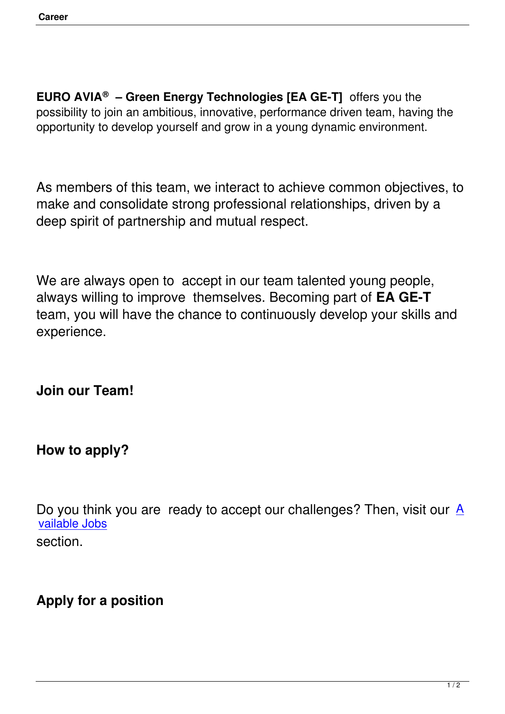**EURO AVIA® – Green Energy Technologies [EA GE-T]** offers you the possibility to join an ambitious, innovative, performance driven team, having the opportunity to develop yourself and grow in a young dynamic environment.

As members of this team, we interact to achieve common objectives, to make and consolidate strong professional relationships, driven by a deep spirit of partnership and mutual respect.

We are always open to accept in our team talented young people, always willing to improve themselves. Becoming part of **EA GE-T**  team, you will have the chance to continuously develop your skills and experience.

**Join our Team!**

#### **How to apply?**

Do you think you are ready to accept our challenges? Then, visit our  $\underline{A}$ vailable Jobs section.

# **Apply for a position**